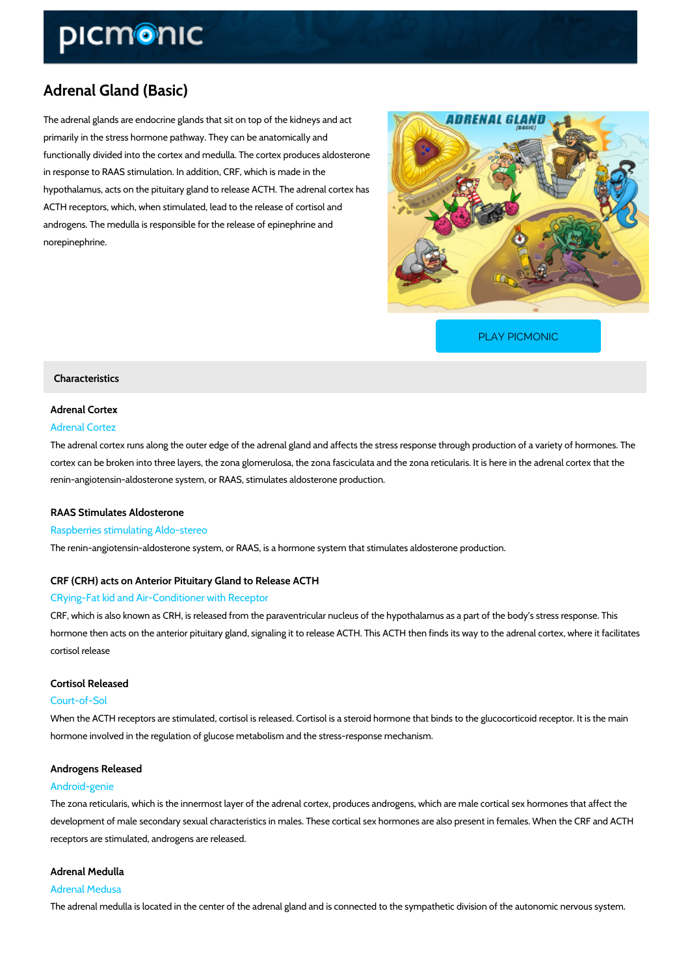# Adrenal Gland (Basic)

The adrenal glands are endocrine glands that sit on top of the kidneys and act primarily in the stress hormone pathway. They can be anatomically and functionally divided into the cortex and medulla. The cortex produces aldosterone in response to RAAS stimulation. In addition, CRF, which is made in the hypothalamus, acts on the pituitary gland to release ACTH. The adrenal cortex has ACTH receptors, which, when stimulated, lead to the release of cortisol and androgens. The medulla is responsible for the release of epinephrine and norepinephrine.

[PLAY PICMONIC](https://www.picmonic.com/learn/adrenal-gland-basic_5683?utm_source=downloadable_content&utm_medium=distributedcontent&utm_campaign=pathways_pdf&utm_content=Adrenal Gland (Basic)&utm_ad_group=leads&utm_market=all)

#### Characteristics

# Adrenal Cortex Adrenal Cortez

The adrenal cortex runs along the outer edge of the adrenal gland and affects the stress resp cortex can be broken into three layers, the zona glomerulosa, the zona fasciculata and the zo renin-angiotensin-aldosterone system, or RAAS, stimulates aldosterone production.

### RAAS Stimulates Aldosterone

#### Raspberries stimulating Aldo-stereo

The renin-angiotensin-aldosterone system, or RAAS, is a hormone system that stimulates aldo

# CRF (CRH) acts on Anterior Pituitary Gland to Release ACTH CRying-Fat kid and Air-Conditioner with Receptor

CRF, which is also known as CRH, is released from the paraventricular nucleus of the hypotha hormone then acts on the anterior pituitary gland, signaling it to release ACTH. This ACTH th cortisol release

#### Cortisol Released

#### Court-of-Sol

When the ACTH receptors are stimulated, cortisol is released. Cortisol is a steroid hormone that hormone involved in the regulation of glucose metabolism and the stress-response mechanism.

#### Androgens Released

#### Android-genie

The zona reticularis, which is the innermost layer of the adrenal cortex, produces androgens, development of male secondary sexual characteristics in males. These cortical sex hormones receptors are stimulated, androgens are released.

#### Adrenal Medulla

# Adrenal Medusa

The adrenal medulla is located in the center of the adrenal gland and is connected to the sym